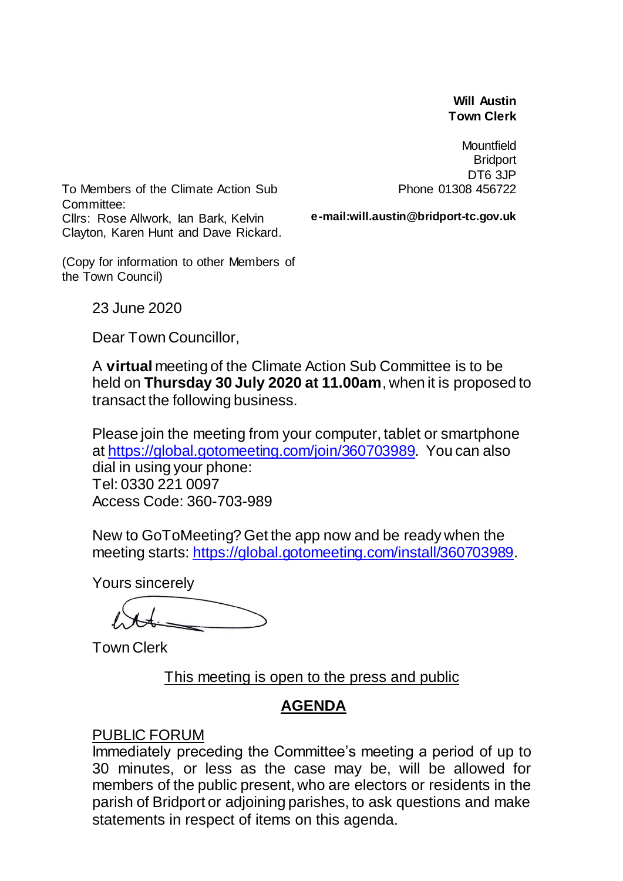**Will Austin Town Clerk**

**Mountfield Bridport** DT6 3JP Phone 01308 456722

To Members of the Climate Action Sub Committee: Cllrs: Rose Allwork, Ian Bark, Kelvin Clayton, Karen Hunt and Dave Rickard.

**e-mail:will.austin@bridport-tc.gov.uk**

(Copy for information to other Members of the Town Council)

23 June 2020

Dear Town Councillor,

A **virtual** meeting of the Climate Action Sub Committee is to be held on **Thursday 30 July 2020 at 11.00am**, when it is proposed to transact the following business.

Please join the meeting from your computer, tablet or smartphone at<https://global.gotomeeting.com/join/360703989>. You can also dial in using your phone: Tel: 0330 221 0097 Access Code: 360-703-989

New to GoToMeeting? Get the app now and be ready when the meeting starts:<https://global.gotomeeting.com/install/360703989>.

Yours sincerely

Town Clerk

This meeting is open to the press and public

## **AGENDA**

## PUBLIC FORUM

Immediately preceding the Committee's meeting a period of up to 30 minutes, or less as the case may be, will be allowed for members of the public present, who are electors or residents in the parish of Bridport or adjoining parishes, to ask questions and make statements in respect of items on this agenda.